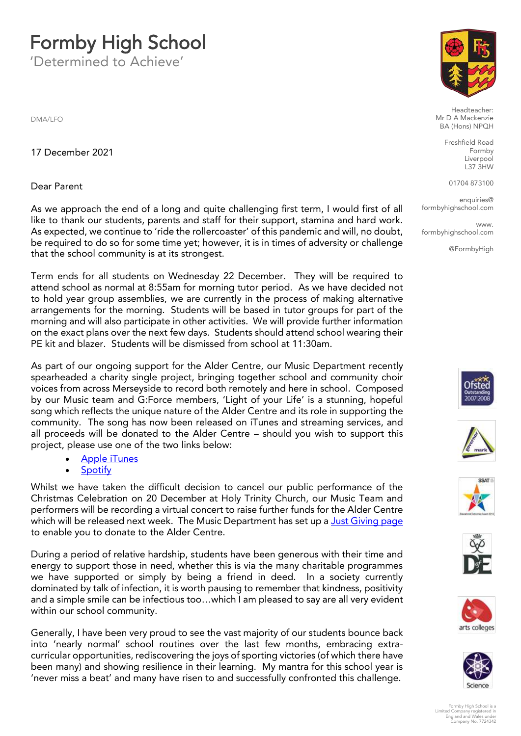# **Formby High School**<br>Determined to Achieve'

'Determined to Achieve'

DMA/LEO

17 December 2021 17 December 2021

#### Dear Parent Dear Parent

As we approach the end of a long and quite challenging first term, I would first of all like to thank our students, parents and staff for their support, stamina and hard work. As expected, we continue to 'ride the rollercoaster' of this pandemic and will, no doubt, be required to do so for some time yet; however, it is in times of adversity or challenge that the school community is at its strongest. that the school community is at its strongest.

Term ends for all students on Wednesday 22 December. They will be required to to hold year group assemblies, we are currently in the process of making alternative arrangements for the morning. Students will be based in tutor groups for part of the morning and will also participate in other activities. We will provide further information on the exact plans over the next few days. Students should attend school wearing their PE kit and blazer. Students will be dismissed from school at 11:30am. PE kit and blazer. Students will be dismissed from school at 11:30am.

As part of our ongoing support for the Alder Centre, our Music Department recently spearheaded a charity single project, bringing together school and community choir voices from across Merseyside to record both remotely and here in school. Composed by our Music team and G:Force members, 'Light of your Life' is a stunning, hopeful song which reflects the unique nature of the Alder Centre and its role in supporting the community. The song has now been released on iTunes and streaming services, and all proceeds will be donated to the Alder Centre - should you wish to support this project, please use one of the two links below:

- [Apple iT](https://open.spotify.com/album/36cbkeJwTLleYgKdDjl7n2)unes<br>• Apple iTunes below:
	-

• Spotify<br>Whilst we have taken the difficult decision to cancel our public performance of the Christmas Celebration on 20 December at Holy Trinity Church, our Music Team and performers will be recording a virtual concert to raise further funds for the Alder Centre which will be released next week. The Music Department has set up a Just Giving page to enable you to donate to the Alder Centre. to enable you to donate to the Alder Centre.

During a period of relative hardship, students have been generous with their time and energy to support those in need, whether this is via the many charitable programmes we have supported or simply by being a friend in deed. In a society currently dominated by talk of infection, it is worth pausing to remember that kindness, positivity and a simple smile can be infectious too...which I am pleased to say are all very evident within our school community. within our school community.

Generally, I have been very proud to see the vast majority of our students bounce back<br>into 'nearly normal' school routines over the last few months, embracing extracurricular opportunities, rediscovering the joys of sporting victories (of which there have been many) and showing resilience in their learning. My mantra for this school vear is been many) and showing resilience in their learning. My mantra for this school year is 'never miss a beat' and many have risen to and successfully confronted this challenge.



Headteacher:<br>Mr D A Mackenzie BA (Hons) NPQH

> Freshfield Road Liverpool  $L37$  $3HW$

01704 873100

en<br>School com formbyhighschool.com

**WWW**  $\frac{1}{2}$ formbyhighschool.com

@FormbyHigh













Formby High School is a Limited Company registered in England and Wales under Company No. 7724342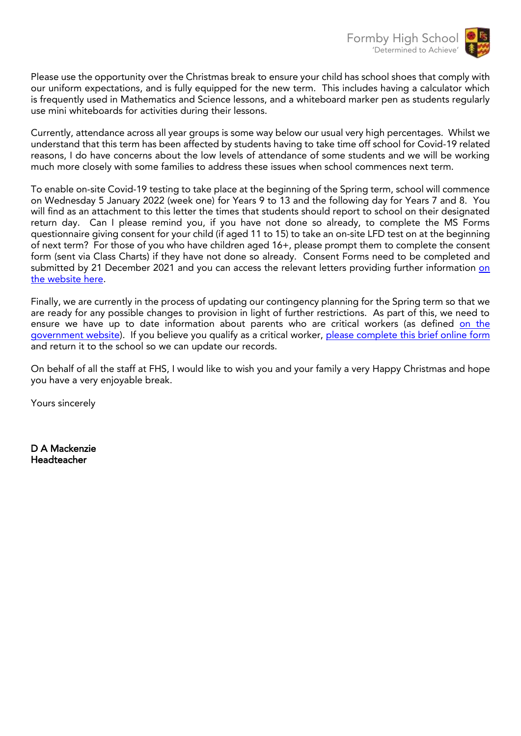

Please use the opportunity over the Christmas break to ensure your child has school shoes that comply with<br>our uniform expectations, and is fully equipped for the new term. This includes having a calculator which is frequently used in Mathematics and Science lessons, and a whiteboard marker pen as students regularly use mini whiteboards for activities during their lessons. use mini whiteboards for activities during their lessons.

Currently, attendance across all year groups is some way below our usual very high percentages. Whilst we reasons, I do have concerns about the low levels of attendance of some students and we will be working much more closely with some families to address these issues when school commences next term. much more closely with some families to address these issues when school commences next term.

To enable on-site Covid-19 testing to take place at the beginning of the Spring term, school will commence<br>on Wednesday 5 January 2022 (week one) for Years 9 to 13 and the following day for Years 7 and 8. You will find as an attachment to this letter the times that students should report to school on their designated return day. Can I please remind you, if you have not done so already, to complete the MS Forms questionnaire giving consent for your child (if aged 11 to 15) to take an on-site LFD test on at the beginning of next term? For those of you who have children aged 16+, please prompt them to complete the consent form (sent via Class Charts) if they have not done so already. Consent Forms need to be completed and submitted by 21 December 2021 [and](https://www.formbyhighschool.com/fhs-test-centre/) you can access the relevant letters providing further information on the website here. the website here.

Finally, we are currently in the process of updating our contingency planning for the Spring term so that we<br>are ready for any possible changes to provision in light of further restrictions. As part of this, we need to ensure we have up to date information about parents who are critical workers (as defined on the government website). If you believe you qualify as a critical worker, please complete this brief online form and return it to the school so we can update our records. and return it to the school so we can update our records.

On behalf of all the staff at FHS, I would like to wish you and your family a very Happy Christmas and hope you have a very enjoyable break. you have a very enjoyable break.

Yours sincerely

D A Mackenzie Headteacher Headteacher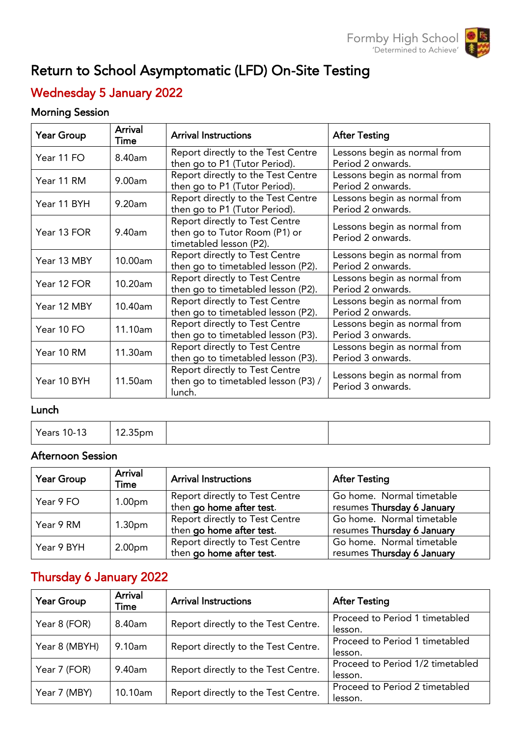

# Return to School Asymptomatic (LFD) On-Site Testing

#### ï wednesday 5 January 2022<br>Wednesday

### $\overline{1}$

| <b>Year Group</b> | <b>Arrival</b><br>Time | <b>Arrival Instructions</b>                                                                | <b>After Testing</b>                              |
|-------------------|------------------------|--------------------------------------------------------------------------------------------|---------------------------------------------------|
| Year 11 FO        | 8.40am                 | Report directly to the Test Centre<br>then go to P1 (Tutor Period).                        | Lessons begin as normal from<br>Period 2 onwards. |
| Year 11 RM        | 9.00am                 | Report directly to the Test Centre<br>then go to P1 (Tutor Period).                        | Lessons begin as normal from<br>Period 2 onwards. |
| Year 11 BYH       | 9.20am                 | Report directly to the Test Centre<br>then go to P1 (Tutor Period).                        | Lessons begin as normal from<br>Period 2 onwards. |
| Year 13 FOR       | 9.40am                 | Report directly to Test Centre<br>then go to Tutor Room (P1) or<br>timetabled lesson (P2). | Lessons begin as normal from<br>Period 2 onwards. |
| Year 13 MBY       | 10.00am                | Report directly to Test Centre<br>then go to timetabled lesson (P2).                       | Lessons begin as normal from<br>Period 2 onwards. |
| Year 12 FOR       | 10.20am                | Report directly to Test Centre<br>then go to timetabled lesson (P2).                       | Lessons begin as normal from<br>Period 2 onwards. |
| Year 12 MBY       | 10.40am                | Report directly to Test Centre<br>then go to timetabled lesson (P2).                       | Lessons begin as normal from<br>Period 2 onwards. |
| Year 10 FO        | 11.10am                | Report directly to Test Centre<br>then go to timetabled lesson (P3).                       | Lessons begin as normal from<br>Period 3 onwards. |
| Year 10 RM        | 11.30am                | Report directly to Test Centre<br>then go to timetabled lesson (P3).                       | Lessons begin as normal from<br>Period 3 onwards. |
| Year 10 BYH       | 11.50am                | Report directly to Test Centre<br>then go to timetabled lesson (P3) /<br>lunch.            | Lessons begin as normal from<br>Period 3 onwards. |

<u>Lunch</u> Years 10-13 12.35pm

# Afternoon Session

| Year Group | Arrival<br>Time    | <b>Arrival Instructions</b>                                | <b>After Testing</b>                                    |
|------------|--------------------|------------------------------------------------------------|---------------------------------------------------------|
| Year 9 FO  | 1.00 <sub>pm</sub> | Report directly to Test Centre<br>then go home after test. | Go home. Normal timetable<br>resumes Thursday 6 January |
| Year 9 RM  | 1.30 <sub>pm</sub> | Report directly to Test Centre<br>then go home after test. | Go home. Normal timetable<br>resumes Thursday 6 January |
| Year 9 BYH | 2.00 <sub>pm</sub> | Report directly to Test Centre<br>then go home after test. | Go home. Normal timetable<br>resumes Thursday 6 January |

## Thursday 6 January 2022

| Year Group    | <b>Arrival</b><br>Time | <b>Arrival Instructions</b>         | <b>After Testing</b>                        |
|---------------|------------------------|-------------------------------------|---------------------------------------------|
| Year 8 (FOR)  | 8.40am                 | Report directly to the Test Centre. | Proceed to Period 1 timetabled<br>lesson.   |
| Year 8 (MBYH) | 9.10am                 | Report directly to the Test Centre. | Proceed to Period 1 timetabled<br>lesson.   |
| Year 7 (FOR)  | 9.40am                 | Report directly to the Test Centre. | Proceed to Period 1/2 timetabled<br>lesson. |
| Year 7 (MBY)  | 10.10am                | Report directly to the Test Centre. | Proceed to Period 2 timetabled<br>lesson.   |